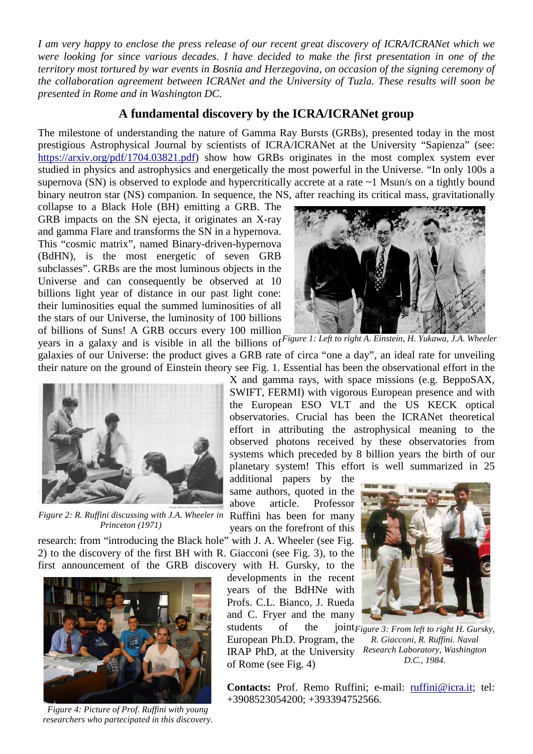*I am very happy to enclose the press release of our recent great discovery of ICRA/ICRANet which we were looking for since various decades. I have decided to make the first presentation in one of the territory most tortured by war events in Bosnia and Herzegovina, on occasion of the signing ceremony of the collaboration agreement between ICRANet and the University of Tuzla. These results will soon be presented in Rome and in Washington DC.*

## **A fundamental discovery by the ICRA/ICRANet group**

The milestone of understanding the nature of Gamma Ray Bursts (GRBs), presented today in the most prestigious Astrophysical Journal by scientists of ICRA/ICRANet at the University "Sapienza" (see: [https://arxiv.org/pdf/1704.03821.pdf\)](https://arxiv.org/pdf/1704.03821.pdf) show how GRBs originates in the most complex system ever studied in physics and astrophysics and energetically the most powerful in the Universe. "In only 100s a supernova (SN) is observed to explode and hypercritically accrete at a rate ~1 Msun/s on a tightly bound binary neutron star (NS) companion. In sequence, the NS, after reaching its critical mass, gravitationally

collapse to a Black Hole (BH) emitting a GRB. The GRB impacts on the SN ejecta, it originates an X-ray and gamma Flare and transforms the SN in a hypernova. This "cosmic matrix", named Binary-driven-hypernova (BdHN), is the most energetic of seven GRB subclasses". GRBs are the most luminous objects in the Universe and can consequently be observed at 10 billions light year of distance in our past light cone: their luminosities equal the summed luminosities of all the stars of our Universe, the luminosity of 100 billions of billions of Suns! A GRB occurs every 100 million



years in a galaxy and is visible in all the billions of *Figure 1: Left to right A. Einstein, H. Yukawa, J.A. Wheeler* galaxies of our Universe: the product gives a GRB rate of circa "one a day", an ideal rate for unveiling their nature on the ground of Einstein theory see Fig. 1. Essential has been the observational effort in the



*Figure 2: R. Ruffini discussing with J.A. Wheeler in Princeton (1971)*

X and gamma rays, with space missions (e.g. BeppoSAX, SWIFT, FERMI) with vigorous European presence and with the European ESO VLT and the US KECK optical observatories. Crucial has been the ICRANet theoretical effort in attributing the astrophysical meaning to the observed photons received by these observatories from systems which preceded by 8 billion years the birth of our planetary system! This effort is well summarized in 25

additional papers by the same authors, quoted in the above article. Professor Ruffini has been for many years on the forefront of this

research: from "introducing the Black hole" with J. A. Wheeler (see Fig. 2) to the discovery of the first BH with R. Giacconi (see Fig. 3), to the first announcement of the GRB discovery with H. Gursky, to the

developments in the recent years of the BdHNe with Profs. C.L. Bianco, J. Rueda and C. Fryer and the many students of the

European Ph.D. Program, the IRAP PhD, at the University *Research Laboratory, Washington*  of Rome (see Fig. 4)



*Figure 3: From left to right H. Gursky, R. Giacconi, R. Ruffini. Naval D.C., 1984.*

*Figure 4: Picture of Prof. Ruffini with young researchers who partecipated in this discovery.*

Contacts: Prof. Remo Ruffini; e-mail: [ruffini@icra.it;](mailto:ruffini@icra.it) tel: +3908523054200; +393394752566.